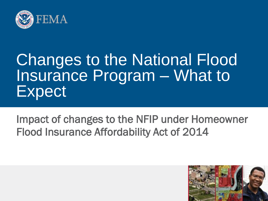

### Changes to the National Flood Insurance Program – What to Expect

Impact of changes to the NFIP under Homeowner Flood Insurance Affordability Act of 2014

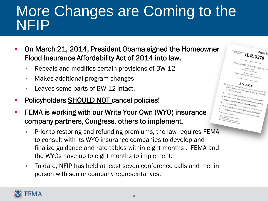### More Changes are Coming to the NFIP

 $\overbrace{H \cdot R \cdot 3370}^{\text{Calendar}}$ 

 $\begin{array}{cccccc} \textit{IN}~\textit{THE}~\textit{SEXATE} & \overbrace{ \textit{VP}~\textit{THE}~\textit{UNTFED}~\textit{STATEB} } \\ & \textit{Max}_{\textit{D}}~\textit{SFR} & \textit{UNTFED}~\textit{STATEB} \\ & \textit{Max}_{\textit{D}}~\textit{SFR} & \textit{STATEB} \\ \end{array}$ 

 $AN$   $ACT$ 

Biggers that implementation of certain provisions of the<br>tail for other purposes, thousance Reform Act of 2012,<br>Be it enorted by the contract of 2012, e Senate and House. **BORT TITLE AND TABLE OF CONTENTS** 

Ana, Cor Coxyrux and Affordability Act of 2014<br>In follows, The Lable of contents for

 $\begin{array}{cc} T\alpha & {\rm delay} & {\rm the} & \epsilon\\ B{\rm is} & {\rm impolems} \end{array}$ 

- On March 21, 2014, President Obama signed the Homeowner Flood Insurance Affordability Act of 2014 into law.
	- Repeals and modifies certain provisions of BW-12
	- Makes additional program changes
	- Leaves some parts of BW-12 intact.
- **-** Policyholders **SHOULD NOT** cancel policies!
- FEMA is working with our Write Your Own (WYO) insurance company partners, Congress, others to implement.
	- Prior to restoring and refunding premiums, the law requires FEMA to consult with its WYO insurance companies to develop and finalize guidance and rate tables within eight months . FEMA and the WYOs have up to eight months to implement.
	- To date, NFIP has held at least seven conference calls and met in person with senior company representatives.

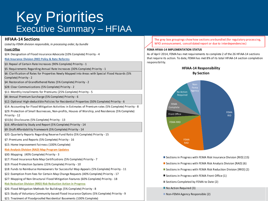### Key Priorities Executive Summary – HFIAA

#### **HFIAA-14 Sections**

*Listed by FEMA division responsible, in processing order, by bundle*

#### **Front Office**

0 §24: Designation of Flood Insurance Advocate (10% Complete) Priority - 4

0 **Risk Insurance Division (RID) Policy & Rate Reforms**

1 §3: Repeal of Certain Rate Increases (90% Complete) Priority - 1

1 §5: Requirements Regarding Annual Rate Increases (30% Complete) Priority - 1

§6: Clarification of Rates for Properties Newly Mapped into Areas with Special Flood Hazards (5% Complete) Priority - 2

2 §4: Restoration of Grandfathered Rates (5% Complete) Priority - 2

2 §28: Clear Communications (5% Complete) Priority - 2

0 §11: Monthly Installments for Premiums (25% Complete) Priority - 5

3 §8: Annual Premium Surcharge (5% Complete) Priority - 6

3 §12: Optional High-deductible Policies for Residential Properties (50% Complete) Priority - 6

4 §14: Accounting for Flood Mitigation Activities in Estimates of Premium rates (5% Complete) Priority - 8

§29: Protection of Small Businesses, Non-profits, Houses of Worship, and Residences (5% Complete) Priority - 12

§31(b): Disclosures (5% Complete) Priority - 13

5 §16: Affordability Study and Report (5% Complete) Priority - 14

5 §9: Draft Affordability Framework (5% Complete) Priority - 14

0 §20: Quarterly Reports Regarding Reserve Fund Ratio (5% Complete) Priority - 15

0 §7: Premiums and Reports (5% Complete) Priority - 16

§15: Home Improvement Fairness (100% Complete)

**Risk Analysis Division (RAD) Map Program Updates** 

0 §30: Mapping (40% Complete) Priority - 3

0 §17: Flood Insurance Rate Map Certifications (5% Complete) Priority - 7

§19: Flood Protection Systems (25% Complete) Priority - 10

0 §18: Funds to Reimburse Homeowners for Successful Map Appeals (5% Complete) Priority - 11

0 §22: Exemption from Fees for Certain Map Change Requests (40% Complete) Priority - 17

0 §27: Mapping of Non-Structural Flood Mitigation Features (60% Complete) Priority - 18

0 **Risk Reduction Division (RRD) Risk Reduction Action in Progress**

4 §26: Flood Mitigation Methods for Buildings (5% Complete) Priority - 8

0 §23: Study of Voluntary Community-based Flood Insurance Options (5% Complete) Priority - 9

0 §21: Treatment of Floodproofed Residential Basements (100% Complete)

The grey box groupings show how sections are bundled (for regulatory processing, WYO announcement, consolidated report or due to interdependencies)

#### **FEMA HFIAA-14 IMPLEMENTATION STATUS**

As of April 2014, FEMA has met requirements to complete 2 of the 26 HFIAA-14 sections that require its action. To date, FEMA has met 8% of its total HFIAA-14 section completion responsibility.



■ Sections in Progress with FEMA Risk Insurance Division [RID] (15)

Sections in Progress with FEMA Risk Analysis Division  $[RAD]$  (6)

■ Sections in Progress with FEMA Risk Reduction Division [RRD] (2)

■ Sections in Progress with FEMA Front Office (1)

Sections Completed by FEMA to Date (2)

No Action Required (3)

■ Non-FEMA Agency Responsible (2)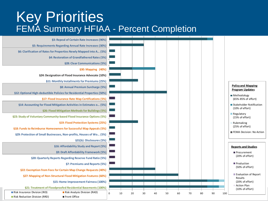### Key Priorities FEMA Summary HFIAA - Percent Completion

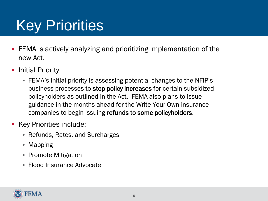# Key Priorities

- FEMA is actively analyzing and prioritizing implementation of the new Act.
- **-** Initial Priority
	- FEMA's initial priority is assessing potential changes to the NFIP's business processes to stop policy increases for certain subsidized policyholders as outlined in the Act. FEMA also plans to issue guidance in the months ahead for the Write Your Own insurance companies to begin issuing refunds to some policyholders.
- **Key Priorities include:** 
	- Refunds, Rates, and Surcharges
	- Mapping
	- Promote Mitigation
	- Flood Insurance Advocate

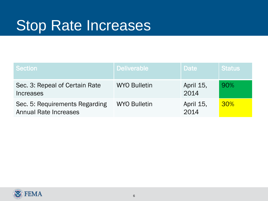### Stop Rate Increases

| <b>Section</b>                                                 | <b>Deliverable</b>  | <b>Date</b>       | <b>Status</b> |
|----------------------------------------------------------------|---------------------|-------------------|---------------|
| Sec. 3: Repeal of Certain Rate<br>Increases                    | <b>WYO Bulletin</b> | April 15,<br>2014 | 90%           |
| Sec. 5: Requirements Regarding<br><b>Annual Rate Increases</b> | <b>WYO Bulletin</b> | April 15,<br>2014 | 30%           |

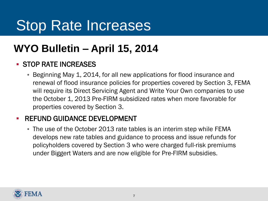### Stop Rate Increases

### **WYO Bulletin – April 15, 2014**

#### **STOP RATE INCREASES**

• Beginning May 1, 2014, for all new applications for flood insurance and renewal of flood insurance policies for properties covered by Section 3, FEMA will require its Direct Servicing Agent and Write Your Own companies to use the October 1, 2013 Pre-FIRM subsidized rates when more favorable for properties covered by Section 3.

#### **- REFUND GUIDANCE DEVELOPMENT**

• The use of the October 2013 rate tables is an interim step while FEMA develops new rate tables and guidance to process and issue refunds for policyholders covered by Section 3 who were charged full-risk premiums under Biggert Waters and are now eligible for Pre-FIRM subsidies.

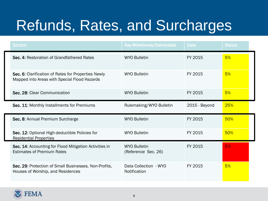| <b>Section</b>                                                                                      | <b>Key Milestones/Deliverable</b>          | <b>Date</b>   | <b>Status</b> |  |
|-----------------------------------------------------------------------------------------------------|--------------------------------------------|---------------|---------------|--|
| Sec. 4: Restoration of Grandfathered Rates                                                          | <b>WYO Bulletin</b>                        | FY 2015       | 5%            |  |
| Sec. 6: Clarification of Rates for Properties Newly<br>Mapped into Areas with Special Flood Hazards | <b>WYO Bulletin</b>                        | FY 2015       | 5%            |  |
| Sec. 28: Clear Communication                                                                        | <b>WYO Bulletin</b>                        | FY 2015       | 5%            |  |
| Sec. 11: Monthly Installments for Premiums                                                          | Rulemaking/WYO Bulletin                    | 2015 - Beyond | 25%           |  |
| Sec. 8: Annual Premium Surcharge                                                                    | <b>WYO Bulletin</b>                        | FY 2015       | 50%           |  |
| Sec. 12: Optional High-deductible Policies for<br><b>Residential Properties</b>                     | <b>WYO Bulletin</b>                        | FY 2015       | 50%           |  |
| Sec. 14: Accounting for Flood Mitigation Activities in<br><b>Estimates of Premium Rates</b>         | <b>WYO Bulletin</b><br>(Reference Sec. 26) | FY 2015       | 5%            |  |
| Sec. 29: Protection of Small Businesses, Non-Profits,<br>Houses of Worship, and Residences          | Data Collection - WYO<br>Notification      | FY 2015       | 5%            |  |

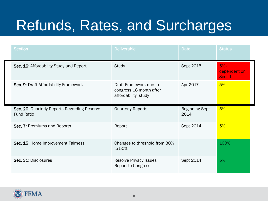| <b>Section</b>                                                    | <b>Deliverable</b>                                                       | <b>Date</b>                   | <b>Status</b>                           |
|-------------------------------------------------------------------|--------------------------------------------------------------------------|-------------------------------|-----------------------------------------|
| Sec. 16: Affordability Study and Report                           | Study                                                                    | Sept 2015                     | $5% -$<br>dependent on<br><b>Sec. 9</b> |
| Sec. 9: Draft Affordability Framework                             | Draft Framework due to<br>congress 18 month after<br>affordability study | Apr 2017                      | 5%                                      |
| Sec. 20: Quarterly Reports Regarding Reserve<br><b>Fund Ratio</b> | <b>Quarterly Reports</b>                                                 | <b>Beginning Sept</b><br>2014 | 5%                                      |
| Sec. 7: Premiums and Reports                                      | Report                                                                   | Sept 2014                     | 5%                                      |
| Sec. 15: Home Improvement Fairness                                | Changes to threshold from 30%<br>to 50%                                  |                               | 100%                                    |
| Sec. 31: Disclosures                                              | <b>Resolve Privacy Issues</b><br><b>Report to Congress</b>               | Sept 2014                     | 5%                                      |

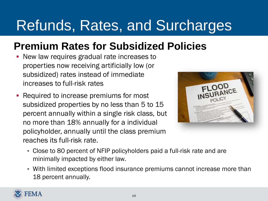### **Premium Rates for Subsidized Policies**

- New law requires gradual rate increases to properties now receiving artificially low (or subsidized) rates instead of immediate increases to full-risk rates
- Required to increase premiums for most subsidized properties by no less than 5 to 15 percent annually within a single risk class, but no more than 18% annually for a individual policyholder, annually until the class premium reaches its full-risk rate.



- Close to 80 percent of NFIP policyholders paid a full-risk rate and are minimally impacted by either law.
- With limited exceptions flood insurance premiums cannot increase more than 18 percent annually.

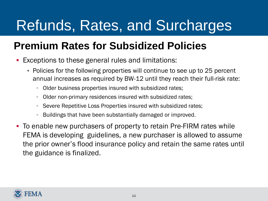### **Premium Rates for Subsidized Policies**

- Exceptions to these general rules and limitations:
	- Policies for the following properties will continue to see up to 25 percent annual increases as required by BW-12 until they reach their full-risk rate:
		- Older business properties insured with subsidized rates;
		- Older non-primary residences insured with subsidized rates;
		- Severe Repetitive Loss Properties insured with subsidized rates;
		- Buildings that have been substantially damaged or improved.
- To enable new purchasers of property to retain Pre-FIRM rates while FEMA is developing guidelines, a new purchaser is allowed to assume the prior owner's flood insurance policy and retain the same rates until the guidance is finalized.

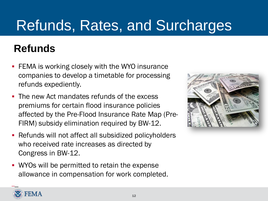### **Refunds**

- **FEMA** is working closely with the WYO insurance companies to develop a timetable for processing refunds expediently.
- **The new Act mandates refunds of the excess** premiums for certain flood insurance policies affected by the Pre-Flood Insurance Rate Map (Pre-FIRM) subsidy elimination required by BW-12.
- **-** Refunds will not affect all subsidized policyholders who received rate increases as directed by Congress in BW-12.
- **WYOs will be permitted to retain the expense** allowance in compensation for work completed.



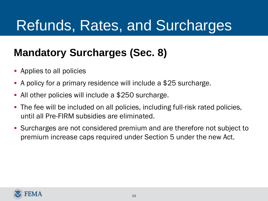### **Mandatory Surcharges (Sec. 8)**

- **•** Applies to all policies
- A policy for a primary residence will include a \$25 surcharge.
- All other policies will include a \$250 surcharge.
- The fee will be included on all policies, including full-risk rated policies, until all Pre-FIRM subsidies are eliminated.
- Surcharges are not considered premium and are therefore not subject to premium increase caps required under Section 5 under the new Act.

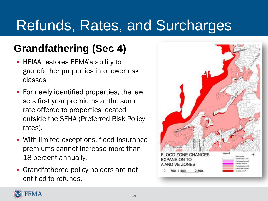### **Grandfathering (Sec 4)**

- **HFIAA restores FEMA's ability to** grandfather properties into lower risk classes .
- **For newly identified properties, the law** sets first year premiums at the same rate offered to properties located outside the SFHA (Preferred Risk Policy rates).
- With limited exceptions, flood insurance premiums cannot increase more than 18 percent annually.
- **Grandfathered policy holders are not** entitled to refunds.



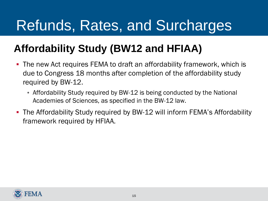### **Affordability Study (BW12 and HFIAA)**

- The new Act requires FEMA to draft an affordability framework, which is due to Congress 18 months after completion of the affordability study required by BW-12.
	- Affordability Study required by BW-12 is being conducted by the National Academies of Sciences, as specified in the BW-12 law.
- The Affordability Study required by BW-12 will inform FEMA's Affordability framework required by HFIAA.

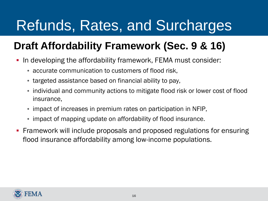### **Draft Affordability Framework (Sec. 9 & 16)**

- **III** developing the affordability framework, FEMA must consider:
	- accurate communication to customers of flood risk,
	- targeted assistance based on financial ability to pay,
	- individual and community actions to mitigate flood risk or lower cost of flood insurance,
	- impact of increases in premium rates on participation in NFIP,
	- impact of mapping update on affordability of flood insurance.
- Framework will include proposals and proposed regulations for ensuring flood insurance affordability among low-income populations.

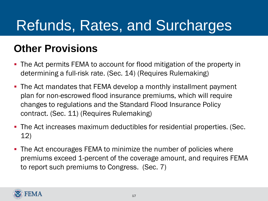### **Other Provisions**

- The Act permits FEMA to account for flood mitigation of the property in determining a full-risk rate. (Sec. 14) (Requires Rulemaking)
- The Act mandates that FEMA develop a monthly installment payment plan for non-escrowed flood insurance premiums, which will require changes to regulations and the Standard Flood Insurance Policy contract. (Sec. 11) (Requires Rulemaking)
- The Act increases maximum deductibles for residential properties. (Sec. 12)
- The Act encourages FEMA to minimize the number of policies where premiums exceed 1-percent of the coverage amount, and requires FEMA to report such premiums to Congress. (Sec. 7)

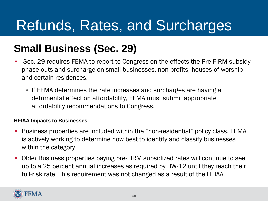### **Small Business (Sec. 29)**

- Sec. 29 requires FEMA to report to Congress on the effects the Pre-FIRM subsidy phase-outs and surcharge on small businesses, non-profits, houses of worship and certain residences.
	- If FEMA determines the rate increases and surcharges are having a detrimental effect on affordability, FEMA must submit appropriate affordability recommendations to Congress.

#### **HFIAA Impacts to Businesses**

- Business properties are included within the "non-residential" policy class. FEMA is actively working to determine how best to identify and classify businesses within the category.
- Older Business properties paying pre-FIRM subsidized rates will continue to see up to a 25 percent annual increases as required by BW-12 until they reach their full-risk rate. This requirement was not changed as a result of the HFIAA.

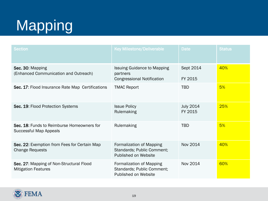| <b>Section</b>                                                         | <b>Key Milestone/Deliverable</b>                                                    | <b>Date</b>                 | <b>Status</b> |
|------------------------------------------------------------------------|-------------------------------------------------------------------------------------|-----------------------------|---------------|
| Sec. 30: Mapping<br>(Enhanced Communication and Outreach)              | <b>Issuing Guidance to Mapping</b><br>partners<br><b>Congressional Notification</b> | Sept 2014<br>FY 2015        | 40%           |
| Sec. 17: Flood Insurance Rate Map Certifications                       | <b>TMAC Report</b>                                                                  | <b>TBD</b>                  | 5%            |
| Sec. 19: Flood Protection Systems                                      | <b>Issue Policy</b><br>Rulemaking                                                   | <b>July 2014</b><br>FY 2015 | 25%           |
| Sec. 18: Funds to Reimburse Homeowners for<br>Successful Map Appeals   | Rulemaking                                                                          | <b>TBD</b>                  | 5%            |
| Sec. 22: Exemption from Fees for Certain Map<br><b>Change Requests</b> | Formalization of Mapping<br>Standards; Public Comment;<br>Published on Website      | Nov 2014                    | 40%           |
| Sec. 27: Mapping of Non-Structural Flood<br><b>Mitigation Features</b> | Formalization of Mapping<br>Standards; Public Comment;<br>Published on Website      | Nov 2014                    | 60%           |

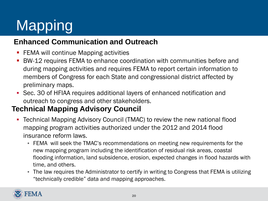#### **Enhanced Communication and Outreach**

- **FEMA will continue Mapping activities**
- BW-12 requires FEMA to enhance coordination with communities before and during mapping activities and requires FEMA to report certain information to members of Congress for each State and congressional district affected by preliminary maps.
- Sec. 30 of HFIAA requires additional layers of enhanced notification and outreach to congress and other stakeholders.

#### **Technical Mapping Advisory Council**  $\overline{\phantom{a}}$

- Technical Mapping Advisory Council (TMAC) to review the new national flood mapping program activities authorized under the 2012 and 2014 flood insurance reform laws.
	- FEMA will seek the TMAC's recommendations on meeting new requirements for the new mapping program including the identification of residual risk areas, coastal flooding information, land subsidence, erosion, expected changes in flood hazards with time, and others.
	- The law requires the Administrator to certify in writing to Congress that FEMA is utilizing "technically credible" data and mapping approaches.

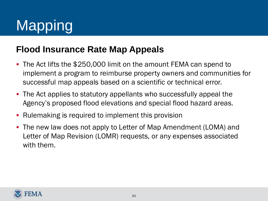#### **Flood Insurance Rate Map Appeals**

- The Act lifts the \$250,000 limit on the amount FEMA can spend to implement a program to reimburse property owners and communities for successful map appeals based on a scientific or technical error.
- The Act applies to statutory appellants who successfully appeal the Agency's proposed flood elevations and special flood hazard areas.
- Rulemaking is required to implement this provision
- The new law does not apply to Letter of Map Amendment (LOMA) and Letter of Map Revision (LOMR) requests, or any expenses associated with them.

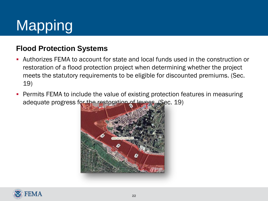#### **Flood Protection Systems**

- Authorizes FEMA to account for state and local funds used in the construction or restoration of a flood protection project when determining whether the project meets the statutory requirements to be eligible for discounted premiums. (Sec. 19)
- Permits FEMA to include the value of existing protection features in measuring adequate progress for the restoration of levees. (Sec. 19)



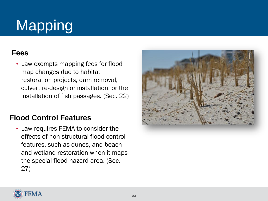#### **Fees**

• Law exempts mapping fees for flood map changes due to habitat restoration projects, dam removal, culvert re-design or installation, or the installation of fish passages. (Sec. 22)

#### **Flood Control Features**

• Law requires FEMA to consider the effects of non-structural flood control features, such as dunes, and beach and wetland restoration when it maps the special flood hazard area. (Sec. 27)



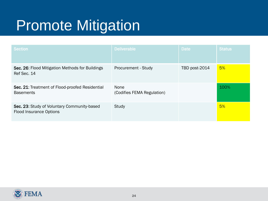## Promote Mitigation

| <b>Section</b>                                                                | <b>Deliverable</b>                        | <b>Date</b>   | <b>Status</b> |
|-------------------------------------------------------------------------------|-------------------------------------------|---------------|---------------|
| Sec. 26: Flood Mitigation Methods for Buildings<br>Ref Sec. 14                | Procurement - Study                       | TBD post-2014 | 5%            |
| Sec. 21: Treatment of Flood-proofed Residential<br><b>Basements</b>           | <b>None</b><br>(Codifies FEMA Regulation) |               | 100%          |
| Sec. 23: Study of Voluntary Community-based<br><b>Flood Insurance Options</b> | Study                                     |               | 5%            |

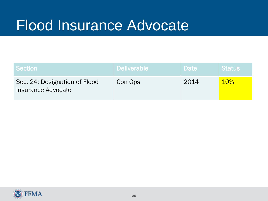### Flood Insurance Advocate

| <b>Section</b>                                      | ∣ Deliverable <sup>i</sup> | Date | <b>Status</b> |
|-----------------------------------------------------|----------------------------|------|---------------|
| Sec. 24: Designation of Flood<br>Insurance Advocate | Con Ops                    | 2014 | <b>10%</b>    |

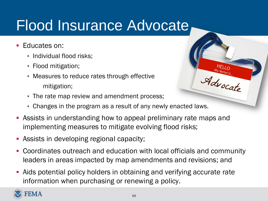### Flood Insurance Advocate

- Educates on:
	- Individual flood risks;
	- Flood mitigation;
	- Measures to reduce rates through effective mitigation;
	- The rate map review and amendment process;
	- Changes in the program as a result of any newly enacted laws.
- Assists in understanding how to appeal preliminary rate maps and implementing measures to mitigate evolving flood risks;
- Assists in developing regional capacity;
- Coordinates outreach and education with local officials and community leaders in areas impacted by map amendments and revisions; and

Advocate

 Aids potential policy holders in obtaining and verifying accurate rate information when purchasing or renewing a policy.